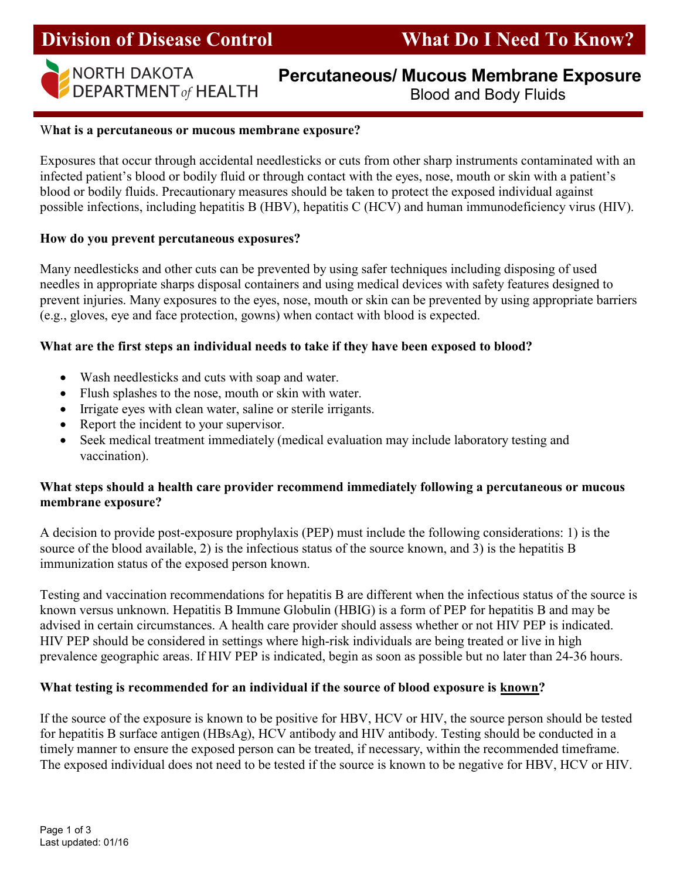## Division of Disease Control What Do I Need To Know?



# NORTH DAKOTA

### NORTH DAKOTA **Percutaneous/ Mucous Membrane Exposure**<br>DEPARTMENT of HEALTH **Rlood and Body Fluids** Blood and Body Fluids

#### What is a percutaneous or mucous membrane exposure?

Exposures that occur through accidental needlesticks or cuts from other sharp instruments contaminated with an infected patient's blood or bodily fluid or through contact with the eyes, nose, mouth or skin with a patient's blood or bodily fluids. Precautionary measures should be taken to protect the exposed individual against possible infections, including hepatitis B (HBV), hepatitis C (HCV) and human immunodeficiency virus (HIV).

#### How do you prevent percutaneous exposures?

Many needlesticks and other cuts can be prevented by using safer techniques including disposing of used needles in appropriate sharps disposal containers and using medical devices with safety features designed to prevent injuries. Many exposures to the eyes, nose, mouth or skin can be prevented by using appropriate barriers (e.g., gloves, eye and face protection, gowns) when contact with blood is expected.

#### What are the first steps an individual needs to take if they have been exposed to blood?

- Wash needlesticks and cuts with soap and water.
- Flush splashes to the nose, mouth or skin with water.
- Irrigate eyes with clean water, saline or sterile irrigants.
- Report the incident to your supervisor.
- Seek medical treatment immediately (medical evaluation may include laboratory testing and vaccination).

#### What steps should a health care provider recommend immediately following a percutaneous or mucous membrane exposure?

A decision to provide post-exposure prophylaxis (PEP) must include the following considerations: 1) is the source of the blood available, 2) is the infectious status of the source known, and  $\overline{3}$ ) is the hepatitis B immunization status of the exposed person known.

Testing and vaccination recommendations for hepatitis B are different when the infectious status of the source is known versus unknown. Hepatitis B Immune Globulin (HBIG) is a form of PEP for hepatitis B and may be advised in certain circumstances. A health care provider should assess whether or not HIV PEP is indicated. HIV PEP should be considered in settings where high-risk individuals are being treated or live in high prevalence geographic areas. If HIV PEP is indicated, begin as soon as possible but no later than 24-36 hours.

#### What testing is recommended for an individual if the source of blood exposure is known?

If the source of the exposure is known to be positive for HBV, HCV or HIV, the source person should be tested for hepatitis B surface antigen (HBsAg), HCV antibody and HIV antibody. Testing should be conducted in a timely manner to ensure the exposed person can be treated, if necessary, within the recommended timeframe. The exposed individual does not need to be tested if the source is known to be negative for HBV, HCV or HIV.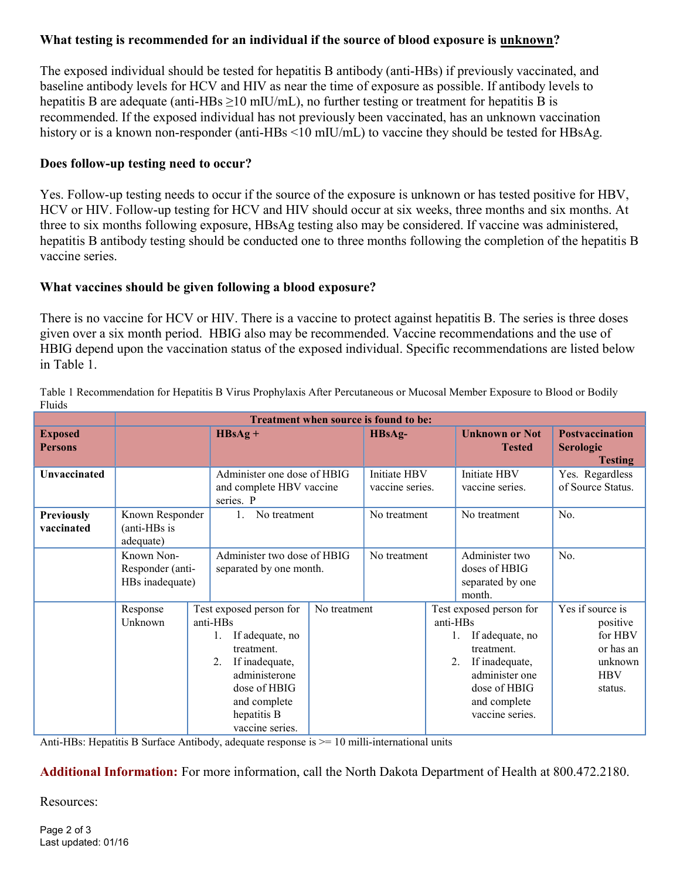#### What testing is recommended for an individual if the source of blood exposure is unknown?

The exposed individual should be tested for hepatitis B antibody (anti-HBs) if previously vaccinated, and baseline antibody levels for HCV and HIV as near the time of exposure as possible. If antibody levels to hepatitis B are adequate (anti-HBs  $>10$  mIU/mL), no further testing or treatment for hepatitis B is recommended. If the exposed individual has not previously been vaccinated, has an unknown vaccination history or is a known non-responder (anti-HBs <10 mIU/mL) to vaccine they should be tested for HBsAg.

#### Does follow-up testing need to occur?

Yes. Follow-up testing needs to occur if the source of the exposure is unknown or has tested positive for HBV, HCV or HIV. Follow-up testing for HCV and HIV should occur at six weeks, three months and six months. At three to six months following exposure, HBsAg testing also may be considered. If vaccine was administered, hepatitis B antibody testing should be conducted one to three months following the completion of the hepatitis B vaccine series.

#### What vaccines should be given following a blood exposure?

There is no vaccine for HCV or HIV. There is a vaccine to protect against hepatitis B. The series is three doses given over a six month period. HBIG also may be recommended. Vaccine recommendations and the use of HBIG depend upon the vaccination status of the exposed individual. Specific recommendations are listed below in Table 1.

|                           | Treatment when source is found to be: |  |                                         |  |                 |                         |                                        |                                                              |
|---------------------------|---------------------------------------|--|-----------------------------------------|--|-----------------|-------------------------|----------------------------------------|--------------------------------------------------------------|
| <b>Exposed</b><br>Persons |                                       |  | $HBsAg +$                               |  | HBsAg-          |                         | <b>Unknown or Not</b><br><b>Tested</b> | <b>Postvaccination</b><br><b>Serologic</b><br><b>Testing</b> |
| Unvaccinated              |                                       |  | Administer one dose of HBIG             |  | Initiate HBV    |                         | Initiate HBV                           | Yes. Regardless                                              |
|                           |                                       |  | and complete HBV vaccine                |  | vaccine series. |                         | vaccine series.                        | of Source Status.                                            |
|                           |                                       |  | series. P                               |  |                 |                         |                                        |                                                              |
| <b>Previously</b>         | Known Responder                       |  | No treatment                            |  | No treatment    |                         | No treatment                           | No.                                                          |
| vaccinated                | (anti-HBs is                          |  |                                         |  |                 |                         |                                        |                                                              |
|                           | adequate)                             |  |                                         |  |                 |                         |                                        |                                                              |
|                           | Known Non-                            |  | Administer two dose of HBIG             |  | No treatment    |                         | Administer two                         | No.                                                          |
|                           | Responder (anti-                      |  | separated by one month.                 |  |                 |                         | doses of HBIG                          |                                                              |
|                           | HBs inadequate)                       |  |                                         |  |                 |                         | separated by one                       |                                                              |
|                           |                                       |  |                                         |  |                 |                         | month.                                 |                                                              |
|                           | Response                              |  | Test exposed person for<br>No treatment |  |                 | Test exposed person for |                                        | Yes if source is                                             |
|                           | Unknown                               |  | anti-HBs                                |  |                 | anti-HBs                |                                        | positive                                                     |
|                           |                                       |  | If adequate, no                         |  |                 | If adequate, no         |                                        | for HBV                                                      |
|                           |                                       |  | treatment.                              |  |                 |                         | treatment.                             | or has an                                                    |
|                           |                                       |  | If inadequate,<br>2.                    |  |                 |                         | 2.<br>If inadequate,                   | unknown                                                      |
|                           |                                       |  | administerone                           |  |                 |                         | administer one                         | <b>HBV</b>                                                   |
|                           |                                       |  | dose of HBIG                            |  |                 |                         | dose of HBIG                           | status.                                                      |
|                           |                                       |  | and complete                            |  |                 |                         | and complete                           |                                                              |
|                           |                                       |  | hepatitis B                             |  |                 |                         | vaccine series.                        |                                                              |
|                           |                                       |  | vaccine series.                         |  |                 |                         |                                        |                                                              |

Table 1 Recommendation for Hepatitis B Virus Prophylaxis After Percutaneous or Mucosal Member Exposure to Blood or Bodily Fluids

Anti-HBs: Hepatitis B Surface Antibody, adequate response is  $\geq$  10 milli-international units

Additional Information: For more information, call the North Dakota Department of Health at 800.472.2180.

Resources: